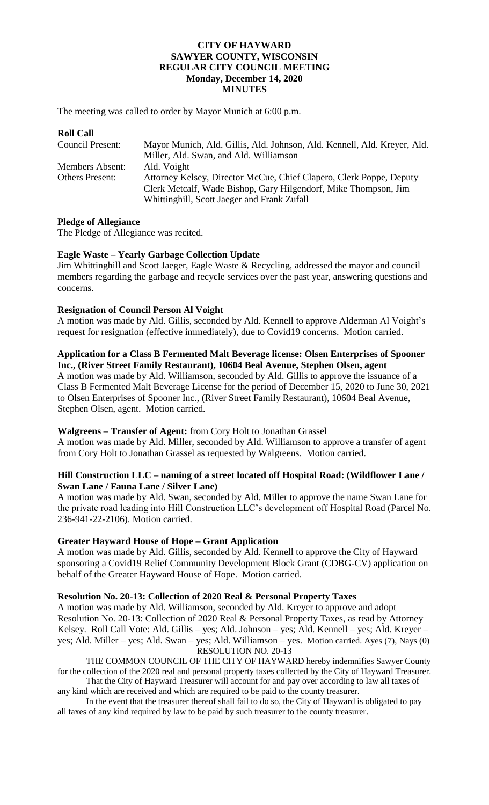# **CITY OF HAYWARD SAWYER COUNTY, WISCONSIN REGULAR CITY COUNCIL MEETING Monday, December 14, 2020 MINUTES**

The meeting was called to order by Mayor Munich at 6:00 p.m.

| <b>Roll Call</b>       |                                                                          |
|------------------------|--------------------------------------------------------------------------|
| Council Present:       | Mayor Munich, Ald. Gillis, Ald. Johnson, Ald. Kennell, Ald. Kreyer, Ald. |
|                        | Miller, Ald. Swan, and Ald. Williamson                                   |
| <b>Members Absent:</b> | Ald. Voight                                                              |
| <b>Others Present:</b> | Attorney Kelsey, Director McCue, Chief Clapero, Clerk Poppe, Deputy      |
|                        | Clerk Metcalf, Wade Bishop, Gary Hilgendorf, Mike Thompson, Jim          |
|                        | Whittinghill, Scott Jaeger and Frank Zufall                              |

## **Pledge of Allegiance**

The Pledge of Allegiance was recited.

## **Eagle Waste – Yearly Garbage Collection Update**

Jim Whittinghill and Scott Jaeger, Eagle Waste & Recycling, addressed the mayor and council members regarding the garbage and recycle services over the past year, answering questions and concerns.

## **Resignation of Council Person Al Voight**

A motion was made by Ald. Gillis, seconded by Ald. Kennell to approve Alderman Al Voight's request for resignation (effective immediately), due to Covid19 concerns. Motion carried.

### **Application for a Class B Fermented Malt Beverage license: Olsen Enterprises of Spooner Inc., (River Street Family Restaurant), 10604 Beal Avenue, Stephen Olsen, agent**

A motion was made by Ald. Williamson, seconded by Ald. Gillis to approve the issuance of a Class B Fermented Malt Beverage License for the period of December 15, 2020 to June 30, 2021 to Olsen Enterprises of Spooner Inc., (River Street Family Restaurant), 10604 Beal Avenue, Stephen Olsen, agent. Motion carried.

# **Walgreens – Transfer of Agent:** from Cory Holt to Jonathan Grassel

A motion was made by Ald. Miller, seconded by Ald. Williamson to approve a transfer of agent from Cory Holt to Jonathan Grassel as requested by Walgreens. Motion carried.

## **Hill Construction LLC – naming of a street located off Hospital Road: (Wildflower Lane / Swan Lane / Fauna Lane / Silver Lane)**

A motion was made by Ald. Swan, seconded by Ald. Miller to approve the name Swan Lane for the private road leading into Hill Construction LLC's development off Hospital Road (Parcel No. 236-941-22-2106). Motion carried.

# **Greater Hayward House of Hope – Grant Application**

A motion was made by Ald. Gillis, seconded by Ald. Kennell to approve the City of Hayward sponsoring a Covid19 Relief Community Development Block Grant (CDBG-CV) application on behalf of the Greater Hayward House of Hope. Motion carried.

## **Resolution No. 20-13: Collection of 2020 Real & Personal Property Taxes**

A motion was made by Ald. Williamson, seconded by Ald. Kreyer to approve and adopt Resolution No. 20-13: Collection of 2020 Real & Personal Property Taxes, as read by Attorney Kelsey. Roll Call Vote: Ald. Gillis – yes; Ald. Johnson – yes; Ald. Kennell – yes; Ald. Kreyer – yes; Ald. Miller – yes; Ald. Swan – yes; Ald. Williamson – yes. Motion carried. Ayes (7), Nays (0) RESOLUTION NO. 20-13

THE COMMON COUNCIL OF THE CITY OF HAYWARD hereby indemnifies Sawyer County for the collection of the 2020 real and personal property taxes collected by the City of Hayward Treasurer. That the City of Hayward Treasurer will account for and pay over according to law all taxes of

any kind which are received and which are required to be paid to the county treasurer.

In the event that the treasurer thereof shall fail to do so, the City of Hayward is obligated to pay all taxes of any kind required by law to be paid by such treasurer to the county treasurer.